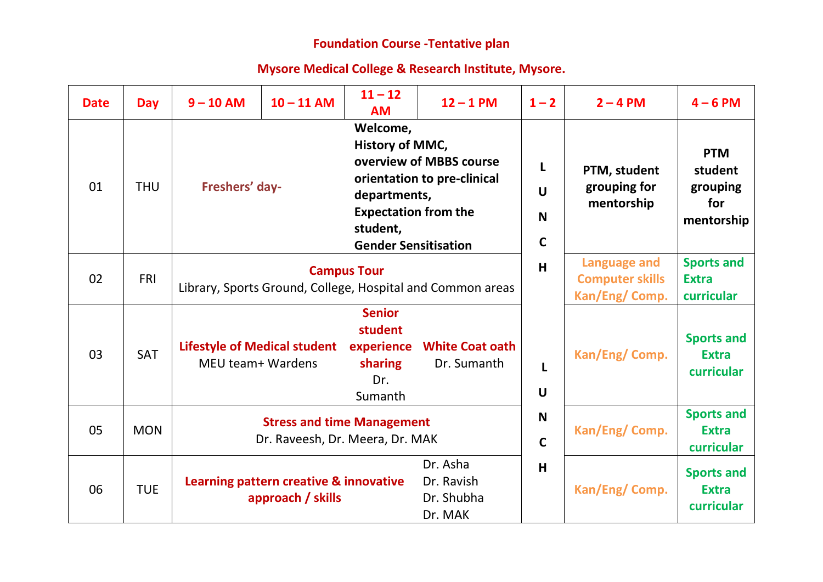## **Foundation Course -Tentative plan**

## **Mysore Medical College & Research Institute, Mysore.**

| <b>Date</b> | <b>Day</b> | $9 - 10$ AM                                                                      | $10 - 11$ AM                                                | $11 - 12$<br><b>AM</b>                                                                                                | $12 - 1$ PM                                            | $1 - 2$                                                         | $2 - 4$ PM                                      | $4 - 6$ PM                                             |
|-------------|------------|----------------------------------------------------------------------------------|-------------------------------------------------------------|-----------------------------------------------------------------------------------------------------------------------|--------------------------------------------------------|-----------------------------------------------------------------|-------------------------------------------------|--------------------------------------------------------|
| 01          | <b>THU</b> | Freshers' day-                                                                   |                                                             | Welcome,<br>History of MMC,<br>departments,<br><b>Expectation from the</b><br>student,<br><b>Gender Sensitisation</b> | overview of MBBS course<br>orientation to pre-clinical | L<br>$\mathbf U$<br>N<br>$\mathbf C$                            | PTM, student<br>grouping for<br>mentorship      | <b>PTM</b><br>student<br>grouping<br>for<br>mentorship |
| 02          | <b>FRI</b> | <b>Campus Tour</b><br>Library, Sports Ground, College, Hospital and Common areas |                                                             |                                                                                                                       | H                                                      | <b>Language and</b><br><b>Computer skills</b><br>Kan/Eng/ Comp. | <b>Sports and</b><br><b>Extra</b><br>curricular |                                                        |
| 03          | <b>SAT</b> | <b>Lifestyle of Medical student</b><br>MEU team+ Wardens                         |                                                             | <b>Senior</b><br>student<br>sharing<br>Dr.<br>Sumanth                                                                 | experience White Coat oath<br>Dr. Sumanth              | L<br>$\mathbf U$                                                | Kan/Eng/Comp.                                   | <b>Sports and</b><br><b>Extra</b><br>curricular        |
| 05          | <b>MON</b> | <b>Stress and time Management</b><br>Dr. Raveesh, Dr. Meera, Dr. MAK             |                                                             |                                                                                                                       | N<br>$\mathsf{C}$                                      | Kan/Eng/ Comp.                                                  | <b>Sports and</b><br><b>Extra</b><br>curricular |                                                        |
| 06          | <b>TUE</b> |                                                                                  | Learning pattern creative & innovative<br>approach / skills |                                                                                                                       | Dr. Asha<br>Dr. Ravish<br>Dr. Shubha<br>Dr. MAK        | H                                                               | Kan/Eng/ Comp.                                  | <b>Sports and</b><br><b>Extra</b><br>curricular        |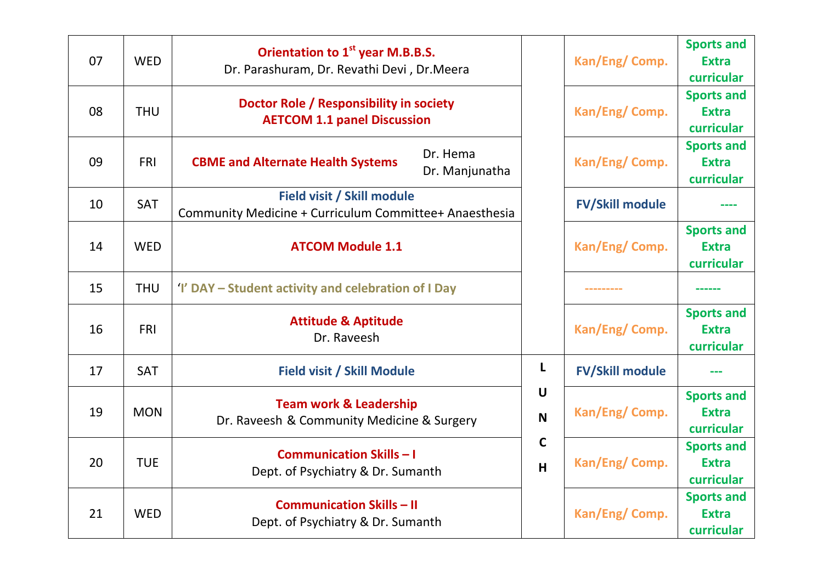| 07 | <b>WED</b> | Orientation to 1 <sup>st</sup> year M.B.B.S.<br>Dr. Parashuram, Dr. Revathi Devi, Dr. Meera |                  | Kan/Eng/ Comp.         | <b>Sports and</b><br><b>Extra</b><br>curricular |
|----|------------|---------------------------------------------------------------------------------------------|------------------|------------------------|-------------------------------------------------|
| 08 | <b>THU</b> | Doctor Role / Responsibility in society<br><b>AETCOM 1.1 panel Discussion</b>               |                  | Kan/Eng/ Comp.         | <b>Sports and</b><br><b>Extra</b><br>curricular |
| 09 | <b>FRI</b> | Dr. Hema<br><b>CBME and Alternate Health Systems</b><br>Dr. Manjunatha                      |                  | Kan/Eng/ Comp.         | <b>Sports and</b><br><b>Extra</b><br>curricular |
| 10 | SAT        | Field visit / Skill module<br>Community Medicine + Curriculum Committee+ Anaesthesia        |                  | <b>FV/Skill module</b> |                                                 |
| 14 | <b>WED</b> | <b>ATCOM Module 1.1</b>                                                                     |                  | Kan/Eng/ Comp.         | <b>Sports and</b><br><b>Extra</b><br>curricular |
| 15 | <b>THU</b> | 'I' DAY – Student activity and celebration of I Day                                         |                  |                        |                                                 |
| 16 | <b>FRI</b> | <b>Attitude &amp; Aptitude</b><br>Dr. Raveesh                                               |                  | Kan/Eng/ Comp.         | <b>Sports and</b><br><b>Extra</b><br>curricular |
| 17 | <b>SAT</b> | <b>Field visit / Skill Module</b>                                                           | L                | <b>FV/Skill module</b> |                                                 |
| 19 | <b>MON</b> | <b>Team work &amp; Leadership</b><br>Dr. Raveesh & Community Medicine & Surgery             | $\mathbf U$<br>N | Kan/Eng/ Comp.         | <b>Sports and</b><br><b>Extra</b><br>curricular |
| 20 | <b>TUE</b> | <b>Communication Skills - I</b><br>Dept. of Psychiatry & Dr. Sumanth                        | $\mathbf C$<br>H | Kan/Eng/ Comp.         | <b>Sports and</b><br><b>Extra</b><br>curricular |
| 21 | <b>WED</b> | <b>Communication Skills - II</b><br>Dept. of Psychiatry & Dr. Sumanth                       |                  | Kan/Eng/ Comp.         | <b>Sports and</b><br><b>Extra</b><br>curricular |